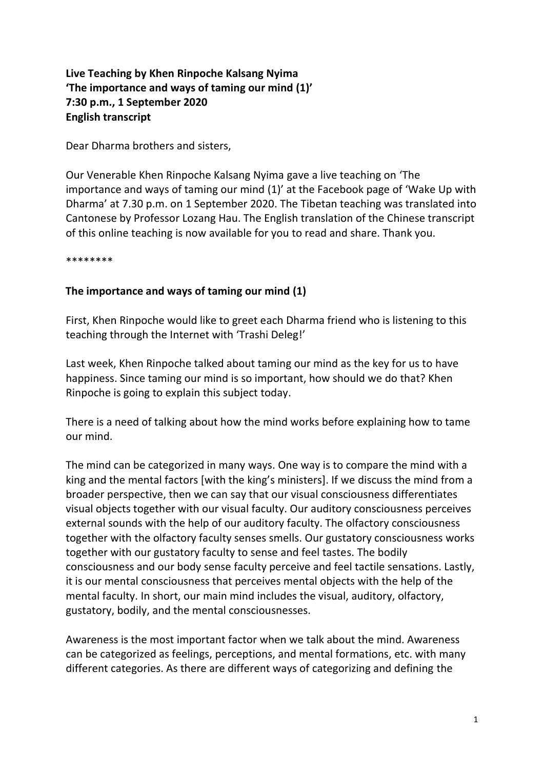**Live Teaching by Khen Rinpoche Kalsang Nyima 'The importance and ways of taming our mind (1)' 7:30 p.m., 1 September 2020 English transcript**

Dear Dharma brothers and sisters,

Our Venerable Khen Rinpoche Kalsang Nyima gave a live teaching on 'The importance and ways of taming our mind (1)' at the Facebook page of 'Wake Up with Dharma' at 7.30 p.m. on 1 September 2020. The Tibetan teaching was translated into Cantonese by Professor Lozang Hau. The English translation of the Chinese transcript of this online teaching is now available for you to read and share. Thank you.

\*\*\*\*\*\*\*\*

## **The importance and ways of taming our mind (1)**

First, Khen Rinpoche would like to greet each Dharma friend who is listening to this teaching through the Internet with 'Trashi Deleg!'

Last week, Khen Rinpoche talked about taming our mind as the key for us to have happiness. Since taming our mind is so important, how should we do that? Khen Rinpoche is going to explain this subject today.

There is a need of talking about how the mind works before explaining how to tame our mind.

The mind can be categorized in many ways. One way is to compare the mind with a king and the mental factors [with the king's ministers]. If we discuss the mind from a broader perspective, then we can say that our visual consciousness differentiates visual objects together with our visual faculty. Our auditory consciousness perceives external sounds with the help of our auditory faculty. The olfactory consciousness together with the olfactory faculty senses smells. Our gustatory consciousness works together with our gustatory faculty to sense and feel tastes. The bodily consciousness and our body sense faculty perceive and feel tactile sensations. Lastly, it is our mental consciousness that perceives mental objects with the help of the mental faculty. In short, our main mind includes the visual, auditory, olfactory, gustatory, bodily, and the mental consciousnesses.

Awareness is the most important factor when we talk about the mind. Awareness can be categorized as feelings, perceptions, and mental formations, etc. with many different categories. As there are different ways of categorizing and defining the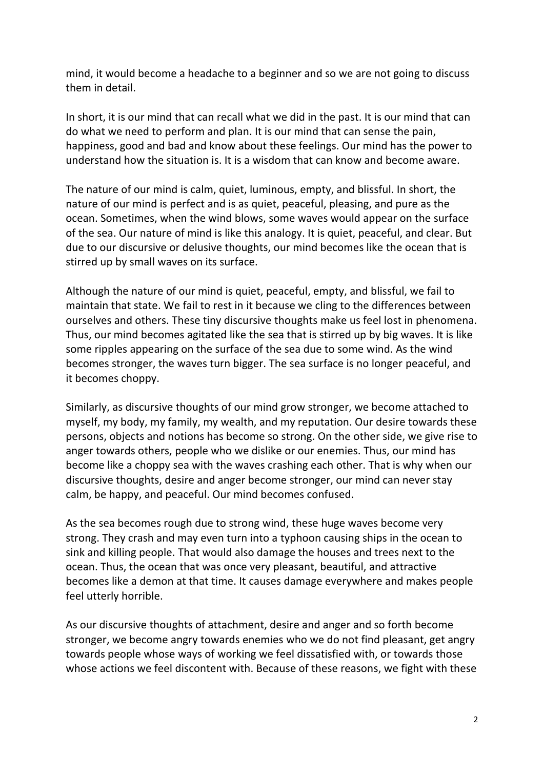mind, it would become a headache to a beginner and so we are not going to discuss them in detail.

In short, it is our mind that can recall what we did in the past. It is our mind that can do what we need to perform and plan. It is our mind that can sense the pain, happiness, good and bad and know about these feelings. Our mind has the power to understand how the situation is. It is a wisdom that can know and become aware.

The nature of our mind is calm, quiet, luminous, empty, and blissful. In short, the nature of our mind is perfect and is as quiet, peaceful, pleasing, and pure as the ocean. Sometimes, when the wind blows, some waves would appear on the surface of the sea. Our nature of mind is like this analogy. It is quiet, peaceful, and clear. But due to our discursive or delusive thoughts, our mind becomes like the ocean that is stirred up by small waves on its surface.

Although the nature of our mind is quiet, peaceful, empty, and blissful, we fail to maintain that state. We fail to rest in it because we cling to the differences between ourselves and others. These tiny discursive thoughts make us feel lost in phenomena. Thus, our mind becomes agitated like the sea that is stirred up by big waves. It is like some ripples appearing on the surface of the sea due to some wind. As the wind becomes stronger, the waves turn bigger. The sea surface is no longer peaceful, and it becomes choppy.

Similarly, as discursive thoughts of our mind grow stronger, we become attached to myself, my body, my family, my wealth, and my reputation. Our desire towards these persons, objects and notions has become so strong. On the other side, we give rise to anger towards others, people who we dislike or our enemies. Thus, our mind has become like a choppy sea with the waves crashing each other. That is why when our discursive thoughts, desire and anger become stronger, our mind can never stay calm, be happy, and peaceful. Our mind becomes confused.

As the sea becomes rough due to strong wind, these huge waves become very strong. They crash and may even turn into a typhoon causing ships in the ocean to sink and killing people. That would also damage the houses and trees next to the ocean. Thus, the ocean that was once very pleasant, beautiful, and attractive becomes like a demon at that time. It causes damage everywhere and makes people feel utterly horrible.

As our discursive thoughts of attachment, desire and anger and so forth become stronger, we become angry towards enemies who we do not find pleasant, get angry towards people whose ways of working we feel dissatisfied with, or towards those whose actions we feel discontent with. Because of these reasons, we fight with these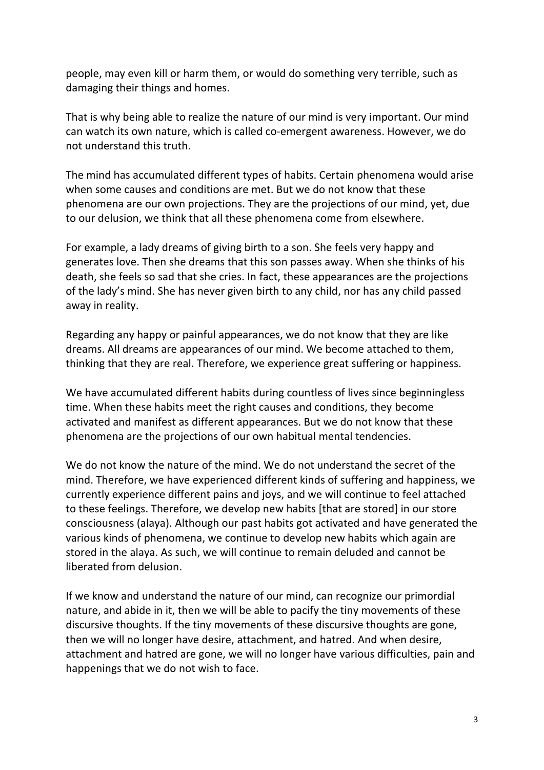people, may even kill or harm them, or would do something very terrible, such as damaging their things and homes.

That is why being able to realize the nature of our mind is very important. Our mind can watch its own nature, which is called co-emergent awareness. However, we do not understand this truth.

The mind has accumulated different types of habits. Certain phenomena would arise when some causes and conditions are met. But we do not know that these phenomena are our own projections. They are the projections of our mind, yet, due to our delusion, we think that all these phenomena come from elsewhere.

For example, a lady dreams of giving birth to a son. She feels very happy and generates love. Then she dreams that this son passes away. When she thinks of his death, she feels so sad that she cries. In fact, these appearances are the projections of the lady's mind. She has never given birth to any child, nor has any child passed away in reality.

Regarding any happy or painful appearances, we do not know that they are like dreams. All dreams are appearances of our mind. We become attached to them, thinking that they are real. Therefore, we experience great suffering or happiness.

We have accumulated different habits during countless of lives since beginningless time. When these habits meet the right causes and conditions, they become activated and manifest as different appearances. But we do not know that these phenomena are the projections of our own habitual mental tendencies.

We do not know the nature of the mind. We do not understand the secret of the mind. Therefore, we have experienced different kinds of suffering and happiness, we currently experience different pains and joys, and we will continue to feel attached to these feelings. Therefore, we develop new habits [that are stored] in our store consciousness (alaya). Although our past habits got activated and have generated the various kinds of phenomena, we continue to develop new habits which again are stored in the alaya. As such, we will continue to remain deluded and cannot be liberated from delusion.

If we know and understand the nature of our mind, can recognize our primordial nature, and abide in it, then we will be able to pacify the tiny movements of these discursive thoughts. If the tiny movements of these discursive thoughts are gone, then we will no longer have desire, attachment, and hatred. And when desire, attachment and hatred are gone, we will no longer have various difficulties, pain and happenings that we do not wish to face.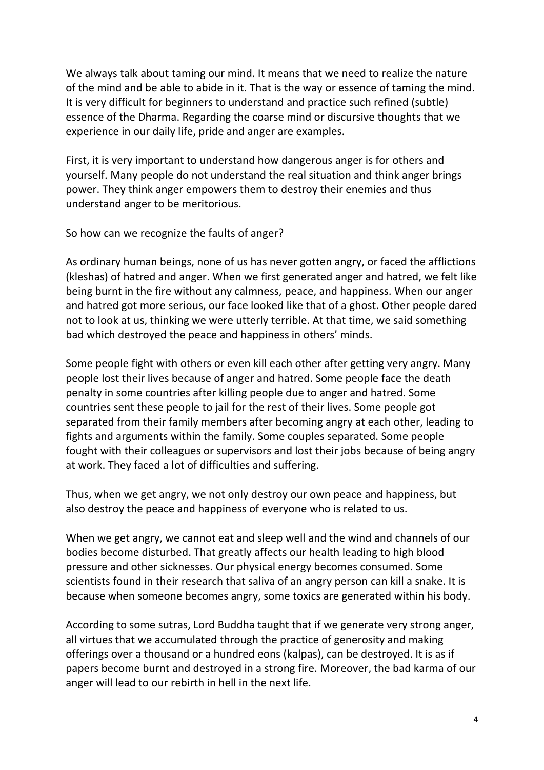We always talk about taming our mind. It means that we need to realize the nature of the mind and be able to abide in it. That is the way or essence of taming the mind. It is very difficult for beginners to understand and practice such refined (subtle) essence of the Dharma. Regarding the coarse mind or discursive thoughts that we experience in our daily life, pride and anger are examples.

First, it is very important to understand how dangerous anger is for others and yourself. Many people do not understand the real situation and think anger brings power. They think anger empowers them to destroy their enemies and thus understand anger to be meritorious.

So how can we recognize the faults of anger?

As ordinary human beings, none of us has never gotten angry, or faced the afflictions (kleshas) of hatred and anger. When we first generated anger and hatred, we felt like being burnt in the fire without any calmness, peace, and happiness. When our anger and hatred got more serious, our face looked like that of a ghost. Other people dared not to look at us, thinking we were utterly terrible. At that time, we said something bad which destroyed the peace and happiness in others' minds.

Some people fight with others or even kill each other after getting very angry. Many people lost their lives because of anger and hatred. Some people face the death penalty in some countries after killing people due to anger and hatred. Some countries sent these people to jail for the rest of their lives. Some people got separated from their family members after becoming angry at each other, leading to fights and arguments within the family. Some couples separated. Some people fought with their colleagues or supervisors and lost their jobs because of being angry at work. They faced a lot of difficulties and suffering.

Thus, when we get angry, we not only destroy our own peace and happiness, but also destroy the peace and happiness of everyone who is related to us.

When we get angry, we cannot eat and sleep well and the wind and channels of our bodies become disturbed. That greatly affects our health leading to high blood pressure and other sicknesses. Our physical energy becomes consumed. Some scientists found in their research that saliva of an angry person can kill a snake. It is because when someone becomes angry, some toxics are generated within his body.

According to some sutras, Lord Buddha taught that if we generate very strong anger, all virtues that we accumulated through the practice of generosity and making offerings over a thousand or a hundred eons (kalpas), can be destroyed. It is as if papers become burnt and destroyed in a strong fire. Moreover, the bad karma of our anger will lead to our rebirth in hell in the next life.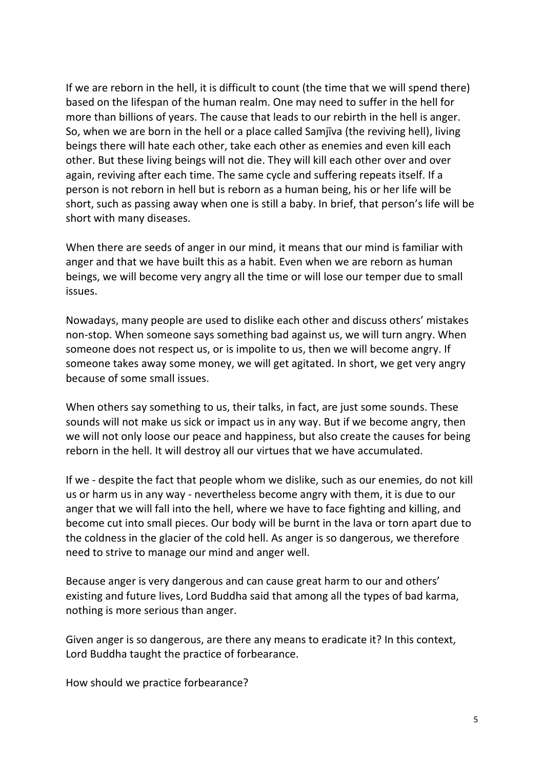If we are reborn in the hell, it is difficult to count (the time that we will spend there) based on the lifespan of the human realm. One may need to suffer in the hell for more than billions of years. The cause that leads to our rebirth in the hell is anger. So, when we are born in the hell or a place called Samjīva (the reviving hell), living beings there will hate each other, take each other as enemies and even kill each other. But these living beings will not die. They will kill each other over and over again, reviving after each time. The same cycle and suffering repeats itself. If a person is not reborn in hell but is reborn as a human being, his or her life will be short, such as passing away when one is still a baby. In brief, that person's life will be short with many diseases.

When there are seeds of anger in our mind, it means that our mind is familiar with anger and that we have built this as a habit. Even when we are reborn as human beings, we will become very angry all the time or will lose our temper due to small issues.

Nowadays, many people are used to dislike each other and discuss others' mistakes non-stop. When someone says something bad against us, we will turn angry. When someone does not respect us, or is impolite to us, then we will become angry. If someone takes away some money, we will get agitated. In short, we get very angry because of some small issues.

When others say something to us, their talks, in fact, are just some sounds. These sounds will not make us sick or impact us in any way. But if we become angry, then we will not only loose our peace and happiness, but also create the causes for being reborn in the hell. It will destroy all our virtues that we have accumulated.

If we - despite the fact that people whom we dislike, such as our enemies, do not kill us or harm us in any way - nevertheless become angry with them, it is due to our anger that we will fall into the hell, where we have to face fighting and killing, and become cut into small pieces. Our body will be burnt in the lava or torn apart due to the coldness in the glacier of the cold hell. As anger is so dangerous, we therefore need to strive to manage our mind and anger well.

Because anger is very dangerous and can cause great harm to our and others' existing and future lives, Lord Buddha said that among all the types of bad karma, nothing is more serious than anger.

Given anger is so dangerous, are there any means to eradicate it? In this context, Lord Buddha taught the practice of forbearance.

How should we practice forbearance?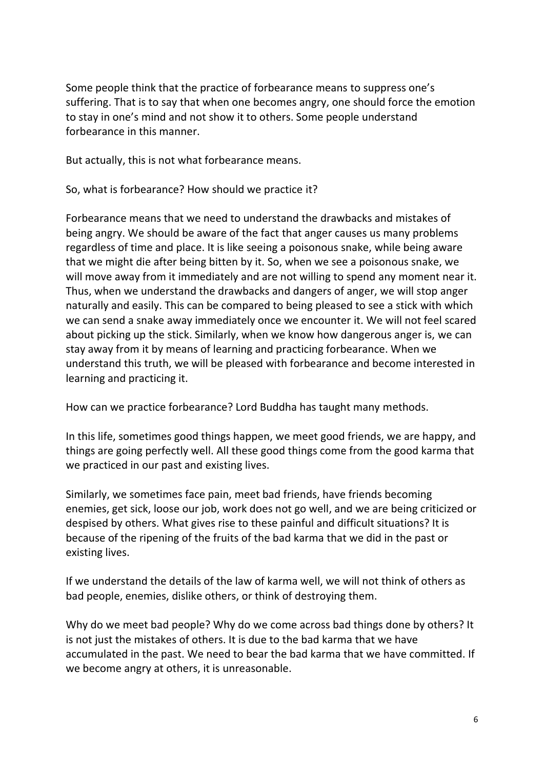Some people think that the practice of forbearance means to suppress one's suffering. That is to say that when one becomes angry, one should force the emotion to stay in one's mind and not show it to others. Some people understand forbearance in this manner.

But actually, this is not what forbearance means.

So, what is forbearance? How should we practice it?

Forbearance means that we need to understand the drawbacks and mistakes of being angry. We should be aware of the fact that anger causes us many problems regardless of time and place. It is like seeing a poisonous snake, while being aware that we might die after being bitten by it. So, when we see a poisonous snake, we will move away from it immediately and are not willing to spend any moment near it. Thus, when we understand the drawbacks and dangers of anger, we will stop anger naturally and easily. This can be compared to being pleased to see a stick with which we can send a snake away immediately once we encounter it. We will not feel scared about picking up the stick. Similarly, when we know how dangerous anger is, we can stay away from it by means of learning and practicing forbearance. When we understand this truth, we will be pleased with forbearance and become interested in learning and practicing it.

How can we practice forbearance? Lord Buddha has taught many methods.

In this life, sometimes good things happen, we meet good friends, we are happy, and things are going perfectly well. All these good things come from the good karma that we practiced in our past and existing lives.

Similarly, we sometimes face pain, meet bad friends, have friends becoming enemies, get sick, loose our job, work does not go well, and we are being criticized or despised by others. What gives rise to these painful and difficult situations? It is because of the ripening of the fruits of the bad karma that we did in the past or existing lives.

If we understand the details of the law of karma well, we will not think of others as bad people, enemies, dislike others, or think of destroying them.

Why do we meet bad people? Why do we come across bad things done by others? It is not just the mistakes of others. It is due to the bad karma that we have accumulated in the past. We need to bear the bad karma that we have committed. If we become angry at others, it is unreasonable.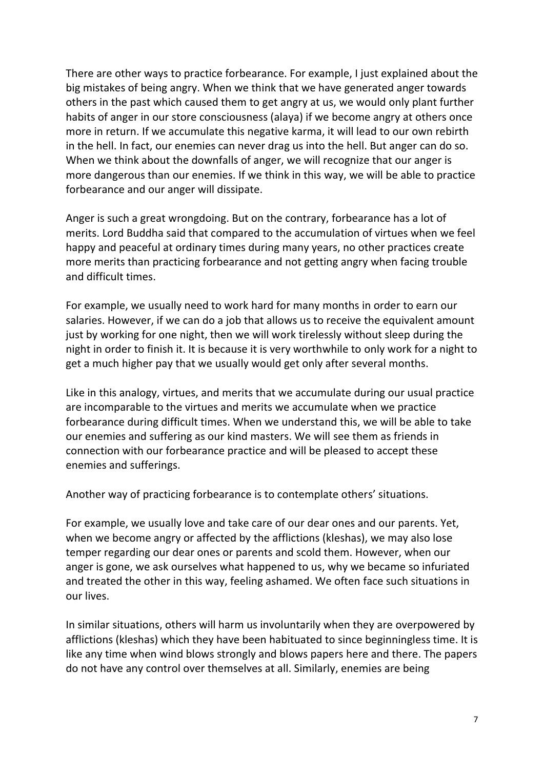There are other ways to practice forbearance. For example, I just explained about the big mistakes of being angry. When we think that we have generated anger towards others in the past which caused them to get angry at us, we would only plant further habits of anger in our store consciousness (alaya) if we become angry at others once more in return. If we accumulate this negative karma, it will lead to our own rebirth in the hell. In fact, our enemies can never drag us into the hell. But anger can do so. When we think about the downfalls of anger, we will recognize that our anger is more dangerous than our enemies. If we think in this way, we will be able to practice forbearance and our anger will dissipate.

Anger is such a great wrongdoing. But on the contrary, forbearance has a lot of merits. Lord Buddha said that compared to the accumulation of virtues when we feel happy and peaceful at ordinary times during many years, no other practices create more merits than practicing forbearance and not getting angry when facing trouble and difficult times.

For example, we usually need to work hard for many months in order to earn our salaries. However, if we can do a job that allows us to receive the equivalent amount just by working for one night, then we will work tirelessly without sleep during the night in order to finish it. It is because it is very worthwhile to only work for a night to get a much higher pay that we usually would get only after several months.

Like in this analogy, virtues, and merits that we accumulate during our usual practice are incomparable to the virtues and merits we accumulate when we practice forbearance during difficult times. When we understand this, we will be able to take our enemies and suffering as our kind masters. We will see them as friends in connection with our forbearance practice and will be pleased to accept these enemies and sufferings.

Another way of practicing forbearance is to contemplate others' situations.

For example, we usually love and take care of our dear ones and our parents. Yet, when we become angry or affected by the afflictions (kleshas), we may also lose temper regarding our dear ones or parents and scold them. However, when our anger is gone, we ask ourselves what happened to us, why we became so infuriated and treated the other in this way, feeling ashamed. We often face such situations in our lives.

In similar situations, others will harm us involuntarily when they are overpowered by afflictions (kleshas) which they have been habituated to since beginningless time. It is like any time when wind blows strongly and blows papers here and there. The papers do not have any control over themselves at all. Similarly, enemies are being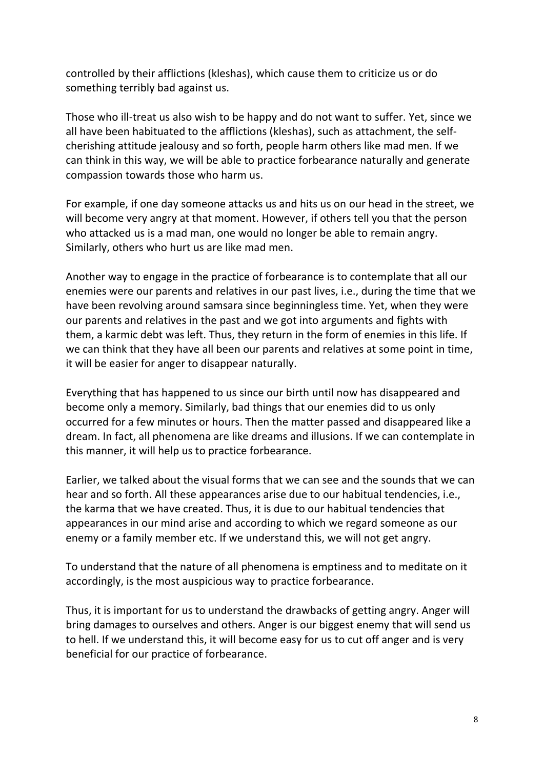controlled by their afflictions (kleshas), which cause them to criticize us or do something terribly bad against us.

Those who ill-treat us also wish to be happy and do not want to suffer. Yet, since we all have been habituated to the afflictions (kleshas), such as attachment, the selfcherishing attitude jealousy and so forth, people harm others like mad men. If we can think in this way, we will be able to practice forbearance naturally and generate compassion towards those who harm us.

For example, if one day someone attacks us and hits us on our head in the street, we will become very angry at that moment. However, if others tell you that the person who attacked us is a mad man, one would no longer be able to remain angry. Similarly, others who hurt us are like mad men.

Another way to engage in the practice of forbearance is to contemplate that all our enemies were our parents and relatives in our past lives, i.e., during the time that we have been revolving around samsara since beginningless time. Yet, when they were our parents and relatives in the past and we got into arguments and fights with them, a karmic debt was left. Thus, they return in the form of enemies in this life. If we can think that they have all been our parents and relatives at some point in time, it will be easier for anger to disappear naturally.

Everything that has happened to us since our birth until now has disappeared and become only a memory. Similarly, bad things that our enemies did to us only occurred for a few minutes or hours. Then the matter passed and disappeared like a dream. In fact, all phenomena are like dreams and illusions. If we can contemplate in this manner, it will help us to practice forbearance.

Earlier, we talked about the visual forms that we can see and the sounds that we can hear and so forth. All these appearances arise due to our habitual tendencies, i.e., the karma that we have created. Thus, it is due to our habitual tendencies that appearances in our mind arise and according to which we regard someone as our enemy or a family member etc. If we understand this, we will not get angry.

To understand that the nature of all phenomena is emptiness and to meditate on it accordingly, is the most auspicious way to practice forbearance.

Thus, it is important for us to understand the drawbacks of getting angry. Anger will bring damages to ourselves and others. Anger is our biggest enemy that will send us to hell. If we understand this, it will become easy for us to cut off anger and is very beneficial for our practice of forbearance.